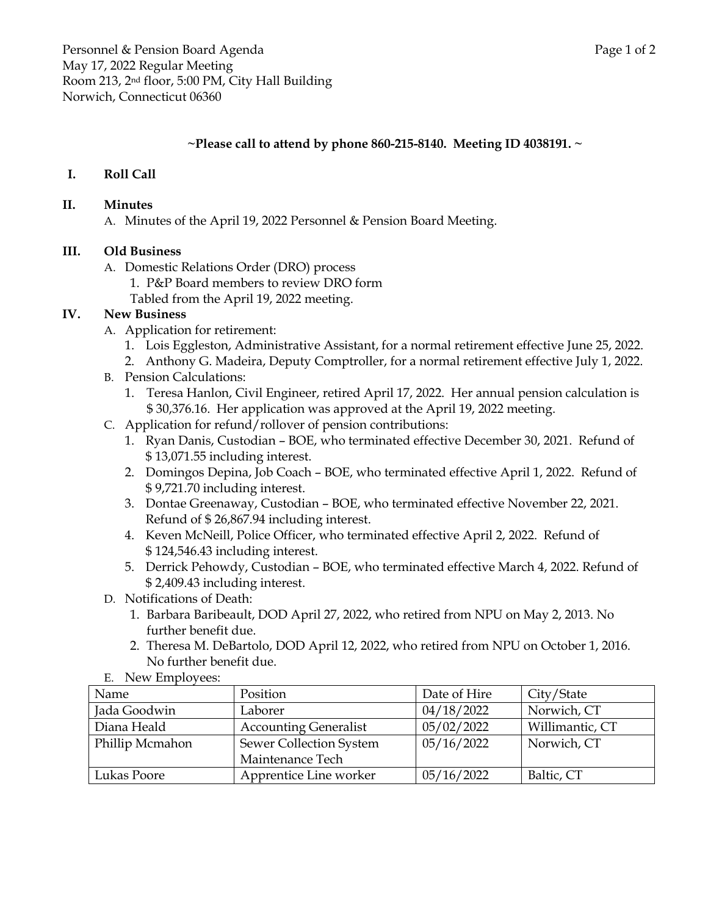## **~Please call to attend by phone 860-215-8140. Meeting ID 4038191. ~**

## **I. Roll Call**

#### **II. Minutes**

A. Minutes of the April 19, 2022 Personnel & Pension Board Meeting.

#### **III. Old Business**

- A. Domestic Relations Order (DRO) process
	- 1. P&P Board members to review DRO form
	- Tabled from the April 19, 2022 meeting.

## **IV. New Business**

- A. Application for retirement:
	- 1. Lois Eggleston, Administrative Assistant, for a normal retirement effective June 25, 2022.
	- 2. Anthony G. Madeira, Deputy Comptroller, for a normal retirement effective July 1, 2022.
- B. Pension Calculations:
	- 1. Teresa Hanlon, Civil Engineer, retired April 17, 2022. Her annual pension calculation is \$ 30,376.16. Her application was approved at the April 19, 2022 meeting.
- C. Application for refund/rollover of pension contributions:
	- 1. Ryan Danis, Custodian BOE, who terminated effective December 30, 2021. Refund of \$ 13,071.55 including interest.
	- 2. Domingos Depina, Job Coach BOE, who terminated effective April 1, 2022. Refund of \$ 9,721.70 including interest.
	- 3. Dontae Greenaway, Custodian BOE, who terminated effective November 22, 2021. Refund of \$ 26,867.94 including interest.
	- 4. Keven McNeill, Police Officer, who terminated effective April 2, 2022. Refund of \$ 124,546.43 including interest.
	- 5. Derrick Pehowdy, Custodian BOE, who terminated effective March 4, 2022. Refund of \$ 2,409.43 including interest.
- D. Notifications of Death:
	- 1. Barbara Baribeault, DOD April 27, 2022, who retired from NPU on May 2, 2013. No further benefit due.
	- 2. Theresa M. DeBartolo, DOD April 12, 2022, who retired from NPU on October 1, 2016. No further benefit due.

| $E_i$ , incredited reco. |                              |              |                 |
|--------------------------|------------------------------|--------------|-----------------|
| Name                     | Position                     | Date of Hire | City/State      |
| Jada Goodwin             | Laborer                      | 04/18/2022   | Norwich, CT     |
| Diana Heald              | <b>Accounting Generalist</b> | 05/02/2022   | Willimantic, CT |
| Phillip Mcmahon          | Sewer Collection System      | 05/16/2022   | Norwich, CT     |
|                          | Maintenance Tech             |              |                 |
| Lukas Poore              | Apprentice Line worker       | 05/16/2022   | Baltic, CT      |

E. New Employees: